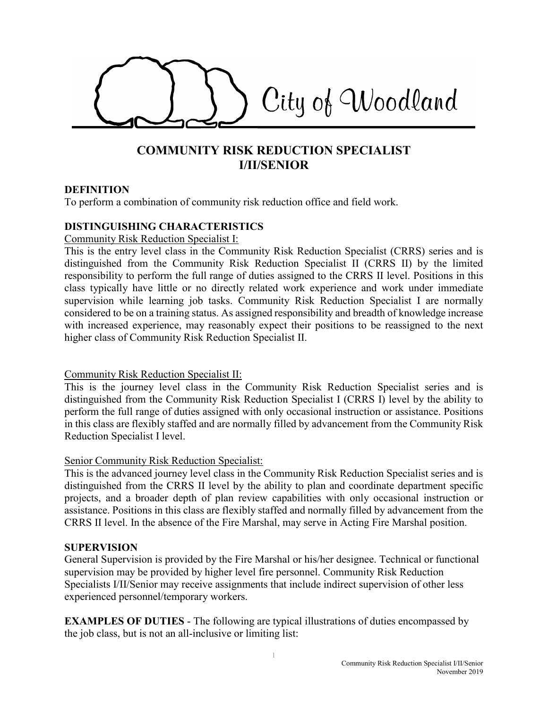

# **COMMUNITY RISK REDUCTION SPECIALIST I/II/SENIOR**

#### **DEFINITION**

To perform a combination of community risk reduction office and field work.

#### **DISTINGUISHING CHARACTERISTICS**

#### Community Risk Reduction Specialist I:

This is the entry level class in the Community Risk Reduction Specialist (CRRS) series and is distinguished from the Community Risk Reduction Specialist II (CRRS II) by the limited responsibility to perform the full range of duties assigned to the CRRS II level. Positions in this class typically have little or no directly related work experience and work under immediate supervision while learning job tasks. Community Risk Reduction Specialist I are normally considered to be on a training status. As assigned responsibility and breadth of knowledge increase with increased experience, may reasonably expect their positions to be reassigned to the next higher class of Community Risk Reduction Specialist II.

### Community Risk Reduction Specialist II:

This is the journey level class in the Community Risk Reduction Specialist series and is distinguished from the Community Risk Reduction Specialist I (CRRS I) level by the ability to perform the full range of duties assigned with only occasional instruction or assistance. Positions in this class are flexibly staffed and are normally filled by advancement from the Community Risk Reduction Specialist I level.

#### Senior Community Risk Reduction Specialist:

This is the advanced journey level class in the Community Risk Reduction Specialist series and is distinguished from the CRRS II level by the ability to plan and coordinate department specific projects, and a broader depth of plan review capabilities with only occasional instruction or assistance. Positions in this class are flexibly staffed and normally filled by advancement from the CRRS II level. In the absence of the Fire Marshal, may serve in Acting Fire Marshal position.

### **SUPERVISION**

General Supervision is provided by the Fire Marshal or his/her designee. Technical or functional supervision may be provided by higher level fire personnel. Community Risk Reduction Specialists I/II/Senior may receive assignments that include indirect supervision of other less experienced personnel/temporary workers.

**EXAMPLES OF DUTIES** - The following are typical illustrations of duties encompassed by the job class, but is not an all-inclusive or limiting list: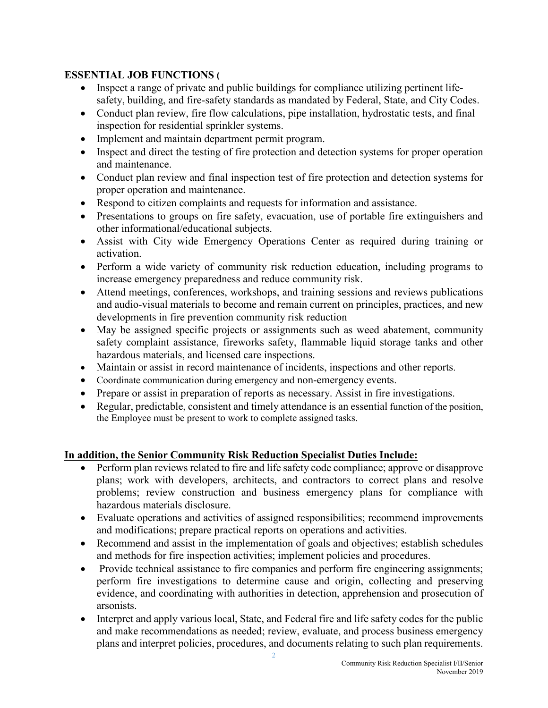### **ESSENTIAL JOB FUNCTIONS (**

- Inspect a range of private and public buildings for compliance utilizing pertinent lifesafety, building, and fire-safety standards as mandated by Federal, State, and City Codes.
- Conduct plan review, fire flow calculations, pipe installation, hydrostatic tests, and final inspection for residential sprinkler systems.
- Implement and maintain department permit program.
- Inspect and direct the testing of fire protection and detection systems for proper operation and maintenance.
- Conduct plan review and final inspection test of fire protection and detection systems for proper operation and maintenance.
- Respond to citizen complaints and requests for information and assistance.
- Presentations to groups on fire safety, evacuation, use of portable fire extinguishers and other informational/educational subjects.
- Assist with City wide Emergency Operations Center as required during training or activation.
- Perform a wide variety of community risk reduction education, including programs to increase emergency preparedness and reduce community risk.
- Attend meetings, conferences, workshops, and training sessions and reviews publications and audio-visual materials to become and remain current on principles, practices, and new developments in fire prevention community risk reduction
- May be assigned specific projects or assignments such as weed abatement, community safety complaint assistance, fireworks safety, flammable liquid storage tanks and other hazardous materials, and licensed care inspections.
- Maintain or assist in record maintenance of incidents, inspections and other reports.
- Coordinate communication during emergency and non-emergency events.
- Prepare or assist in preparation of reports as necessary. Assist in fire investigations.
- Regular, predictable, consistent and timely attendance is an essential function of the position, the Employee must be present to work to complete assigned tasks.

## **In addition, the Senior Community Risk Reduction Specialist Duties Include:**

- Perform plan reviews related to fire and life safety code compliance; approve or disapprove plans; work with developers, architects, and contractors to correct plans and resolve problems; review construction and business emergency plans for compliance with hazardous materials disclosure.
- Evaluate operations and activities of assigned responsibilities; recommend improvements and modifications; prepare practical reports on operations and activities.
- Recommend and assist in the implementation of goals and objectives; establish schedules and methods for fire inspection activities; implement policies and procedures.
- Provide technical assistance to fire companies and perform fire engineering assignments; perform fire investigations to determine cause and origin, collecting and preserving evidence, and coordinating with authorities in detection, apprehension and prosecution of arsonists.
- Interpret and apply various local, State, and Federal fire and life safety codes for the public and make recommendations as needed; review, evaluate, and process business emergency plans and interpret policies, procedures, and documents relating to such plan requirements.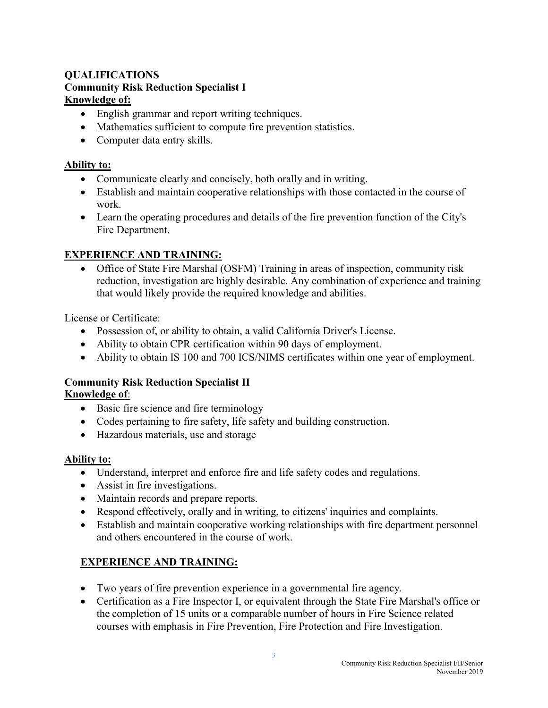## **QUALIFICATIONS Community Risk Reduction Specialist I Knowledge of:**

- English grammar and report writing techniques.
- Mathematics sufficient to compute fire prevention statistics.
- Computer data entry skills.

### **Ability to:**

- Communicate clearly and concisely, both orally and in writing.
- Establish and maintain cooperative relationships with those contacted in the course of work.
- Learn the operating procedures and details of the fire prevention function of the City's Fire Department.

## **EXPERIENCE AND TRAINING:**

 Office of State Fire Marshal (OSFM) Training in areas of inspection, community risk reduction, investigation are highly desirable. Any combination of experience and training that would likely provide the required knowledge and abilities.

License or Certificate:

- Possession of, or ability to obtain, a valid California Driver's License.
- Ability to obtain CPR certification within 90 days of employment.
- Ability to obtain IS 100 and 700 ICS/NIMS certificates within one year of employment.

### **Community Risk Reduction Specialist II Knowledge of**:

- Basic fire science and fire terminology
- Codes pertaining to fire safety, life safety and building construction.
- Hazardous materials, use and storage

### **Ability to:**

- Understand, interpret and enforce fire and life safety codes and regulations.
- Assist in fire investigations.
- Maintain records and prepare reports.
- Respond effectively, orally and in writing, to citizens' inquiries and complaints.
- Establish and maintain cooperative working relationships with fire department personnel and others encountered in the course of work.

## **EXPERIENCE AND TRAINING:**

- Two years of fire prevention experience in a governmental fire agency.
- Certification as a Fire Inspector I, or equivalent through the State Fire Marshal's office or the completion of 15 units or a comparable number of hours in Fire Science related courses with emphasis in Fire Prevention, Fire Protection and Fire Investigation.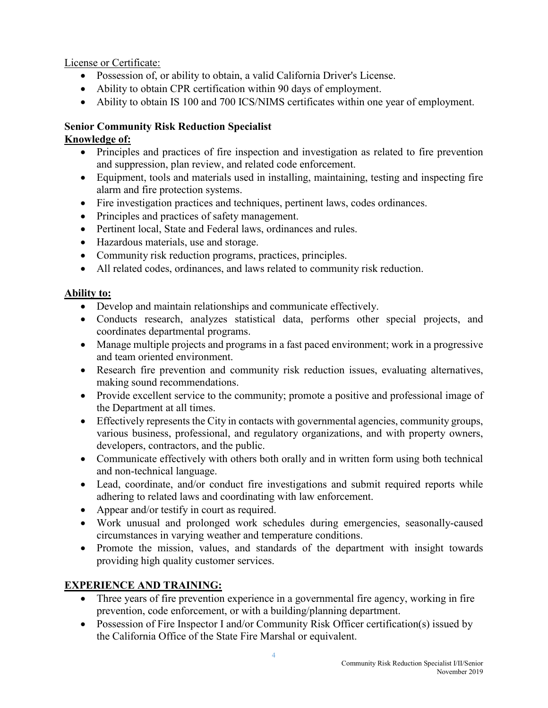License or Certificate:

- Possession of, or ability to obtain, a valid California Driver's License.
- Ability to obtain CPR certification within 90 days of employment.
- Ability to obtain IS 100 and 700 ICS/NIMS certificates within one year of employment.

# **Senior Community Risk Reduction Specialist**

### **Knowledge of:**

- Principles and practices of fire inspection and investigation as related to fire prevention and suppression, plan review, and related code enforcement.
- Equipment, tools and materials used in installing, maintaining, testing and inspecting fire alarm and fire protection systems.
- Fire investigation practices and techniques, pertinent laws, codes ordinances.
- Principles and practices of safety management.
- Pertinent local, State and Federal laws, ordinances and rules.
- Hazardous materials, use and storage.
- Community risk reduction programs, practices, principles.
- All related codes, ordinances, and laws related to community risk reduction.

### **Ability to:**

- Develop and maintain relationships and communicate effectively.
- Conducts research, analyzes statistical data, performs other special projects, and coordinates departmental programs.
- Manage multiple projects and programs in a fast paced environment; work in a progressive and team oriented environment.
- Research fire prevention and community risk reduction issues, evaluating alternatives, making sound recommendations.
- Provide excellent service to the community; promote a positive and professional image of the Department at all times.
- Effectively represents the City in contacts with governmental agencies, community groups, various business, professional, and regulatory organizations, and with property owners, developers, contractors, and the public.
- Communicate effectively with others both orally and in written form using both technical and non-technical language.
- Lead, coordinate, and/or conduct fire investigations and submit required reports while adhering to related laws and coordinating with law enforcement.
- Appear and/or testify in court as required.
- Work unusual and prolonged work schedules during emergencies, seasonally-caused circumstances in varying weather and temperature conditions.
- Promote the mission, values, and standards of the department with insight towards providing high quality customer services.

## **EXPERIENCE AND TRAINING:**

- Three years of fire prevention experience in a governmental fire agency, working in fire prevention, code enforcement, or with a building/planning department.
- Possession of Fire Inspector I and/or Community Risk Officer certification(s) issued by the California Office of the State Fire Marshal or equivalent.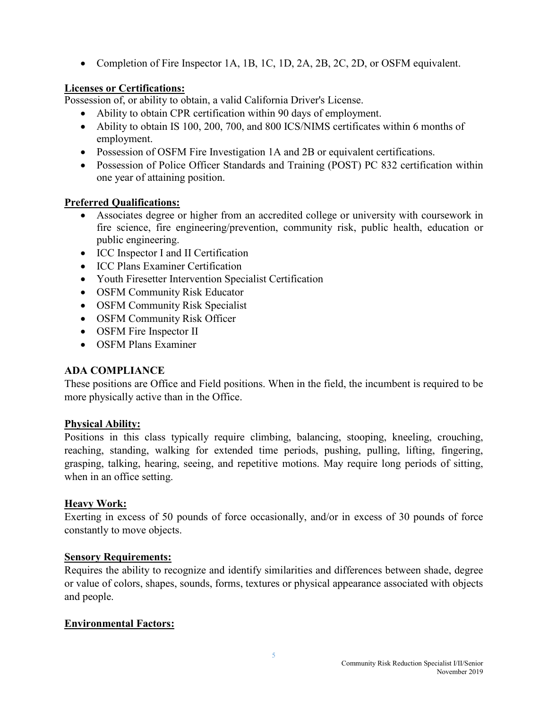• Completion of Fire Inspector 1A, 1B, 1C, 1D, 2A, 2B, 2C, 2D, or OSFM equivalent.

### **Licenses or Certifications:**

Possession of, or ability to obtain, a valid California Driver's License.

- Ability to obtain CPR certification within 90 days of employment.
- Ability to obtain IS 100, 200, 700, and 800 ICS/NIMS certificates within 6 months of employment.
- Possession of OSFM Fire Investigation 1A and 2B or equivalent certifications.
- Possession of Police Officer Standards and Training (POST) PC 832 certification within one year of attaining position.

### **Preferred Qualifications:**

- Associates degree or higher from an accredited college or university with coursework in fire science, fire engineering/prevention, community risk, public health, education or public engineering.
- ICC Inspector I and II Certification
- ICC Plans Examiner Certification
- Youth Firesetter Intervention Specialist Certification
- OSFM Community Risk Educator
- OSFM Community Risk Specialist
- OSFM Community Risk Officer
- OSFM Fire Inspector II
- OSFM Plans Examiner

### **ADA COMPLIANCE**

These positions are Office and Field positions. When in the field, the incumbent is required to be more physically active than in the Office.

### **Physical Ability:**

Positions in this class typically require climbing, balancing, stooping, kneeling, crouching, reaching, standing, walking for extended time periods, pushing, pulling, lifting, fingering, grasping, talking, hearing, seeing, and repetitive motions. May require long periods of sitting, when in an office setting.

### **Heavy Work:**

Exerting in excess of 50 pounds of force occasionally, and/or in excess of 30 pounds of force constantly to move objects.

### **Sensory Requirements:**

Requires the ability to recognize and identify similarities and differences between shade, degree or value of colors, shapes, sounds, forms, textures or physical appearance associated with objects and people.

### **Environmental Factors:**